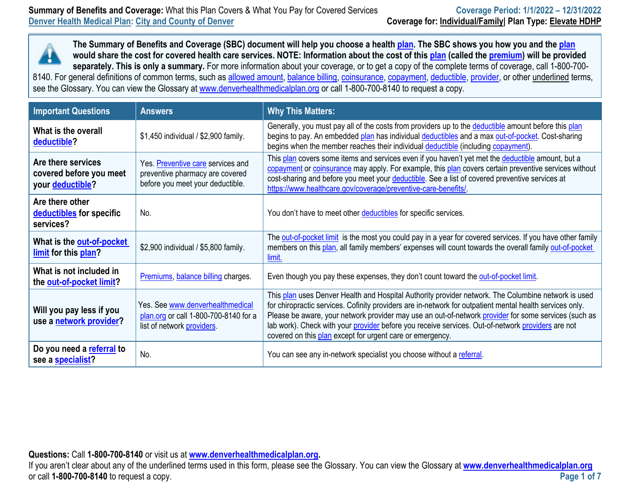

| <b>Important Questions</b>                                        | <b>Answers</b>                                                                                           | <b>Why This Matters:</b>                                                                                                                                                                                                                                                                                                                                                                                                                                                                  |
|-------------------------------------------------------------------|----------------------------------------------------------------------------------------------------------|-------------------------------------------------------------------------------------------------------------------------------------------------------------------------------------------------------------------------------------------------------------------------------------------------------------------------------------------------------------------------------------------------------------------------------------------------------------------------------------------|
| What is the overall<br>deductible?                                | \$1,450 individual / \$2,900 family.                                                                     | Generally, you must pay all of the costs from providers up to the deductible amount before this plan<br>begins to pay. An embedded plan has individual deductibles and a max out-of-pocket. Cost-sharing<br>begins when the member reaches their individual deductible (including copayment).                                                                                                                                                                                             |
| Are there services<br>covered before you meet<br>your deductible? | Yes. Preventive care services and<br>preventive pharmacy are covered<br>before you meet your deductible. | This plan covers some items and services even if you haven't yet met the deductible amount, but a<br>copayment or coinsurance may apply. For example, this plan covers certain preventive services without<br>cost-sharing and before you meet your deductible. See a list of covered preventive services at<br>https://www.healthcare.gov/coverage/preventive-care-benefits/                                                                                                             |
| Are there other<br>deductibles for specific<br>services?          | No.                                                                                                      | You don't have to meet other deductibles for specific services.                                                                                                                                                                                                                                                                                                                                                                                                                           |
| What is the out-of-pocket<br>limit for this plan?                 | \$2,900 individual / \$5,800 family.                                                                     | The out-of-pocket limit is the most you could pay in a year for covered services. If you have other family<br>members on this plan, all family members' expenses will count towards the overall family out-of-pocket<br>limit.                                                                                                                                                                                                                                                            |
| What is not included in<br>the out-of-pocket limit?               | Premiums, balance billing charges.                                                                       | Even though you pay these expenses, they don't count toward the out-of-pocket limit.                                                                                                                                                                                                                                                                                                                                                                                                      |
| Will you pay less if you<br>use a network provider?               | Yes. See www.denverhealthmedical<br>plan.org or call 1-800-700-8140 for a<br>list of network providers.  | This plan uses Denver Health and Hospital Authority provider network. The Columbine network is used<br>for chiropractic services. Cofinity providers are in-network for outpatient mental health services only.<br>Please be aware, your network provider may use an out-of-network provider for some services (such as<br>lab work). Check with your provider before you receive services. Out-of-network providers are not<br>covered on this plan except for urgent care or emergency. |
| Do you need a referral to<br>see a specialist?                    | No.                                                                                                      | You can see any in-network specialist you choose without a referral.                                                                                                                                                                                                                                                                                                                                                                                                                      |

**Questions:** Call **1-800-700-8140** or visit us at **[www.denverhealthmedicalplan.org](http://www.denverhealthmedicalplan.org/).** 

If you aren't clear about any of the underlined terms used in this form, please see the Glossary. You can view the Glossary at **[www.denverhealthmedicalplan.org](http://www.denverhealthmedicalplan.org/)** or call **1-800-700-8140** to request a copy. **Page 1 of 7**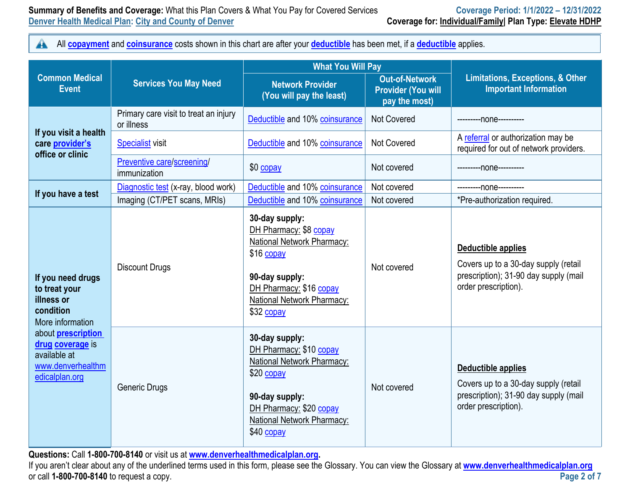$\blacktriangle$ All **[copayment](https://www.healthcare.gov/sbc-glossary/#copayment)** and **[coinsurance](https://www.healthcare.gov/sbc-glossary/#coinsurance)** costs shown in this chart are after your **[deductible](https://www.healthcare.gov/sbc-glossary/#deductible)** has been met, if a **[deductible](https://www.healthcare.gov/sbc-glossary/#deductible)** applies.

|                                                                                                      |                                                     | <b>What You Will Pay</b>                                                                                                                                                       |                                                                     |                                                                                                                                    |  |
|------------------------------------------------------------------------------------------------------|-----------------------------------------------------|--------------------------------------------------------------------------------------------------------------------------------------------------------------------------------|---------------------------------------------------------------------|------------------------------------------------------------------------------------------------------------------------------------|--|
| <b>Common Medical</b><br><b>Event</b>                                                                | <b>Services You May Need</b>                        | <b>Network Provider</b><br>(You will pay the least)                                                                                                                            | <b>Out-of-Network</b><br><b>Provider (You will</b><br>pay the most) | <b>Limitations, Exceptions, &amp; Other</b><br><b>Important Information</b>                                                        |  |
|                                                                                                      | Primary care visit to treat an injury<br>or illness | Deductible and 10% coinsurance                                                                                                                                                 | <b>Not Covered</b>                                                  | ---------none----------                                                                                                            |  |
| If you visit a health<br>care provider's<br>office or clinic                                         | <b>Specialist visit</b>                             | Deductible and 10% coinsurance                                                                                                                                                 | <b>Not Covered</b>                                                  | A referral or authorization may be<br>required for out of network providers.                                                       |  |
|                                                                                                      | Preventive care/screening/<br>immunization          | $$0$ copay                                                                                                                                                                     | Not covered                                                         | ---------- none----------                                                                                                          |  |
|                                                                                                      | Diagnostic test (x-ray, blood work)                 | Deductible and 10% coinsurance                                                                                                                                                 | Not covered                                                         | ---------- none----------                                                                                                          |  |
| If you have a test                                                                                   | Imaging (CT/PET scans, MRIs)                        | Deductible and 10% coinsurance                                                                                                                                                 | Not covered                                                         | *Pre-authorization required.                                                                                                       |  |
| If you need drugs<br>to treat your<br>illness or<br>condition<br>More information                    | <b>Discount Drugs</b>                               | 30-day supply:<br>DH Pharmacy: \$8 copay<br>National Network Pharmacy:<br>\$16 copay<br>90-day supply:<br>DH Pharmacy: \$16 copay<br>National Network Pharmacy:<br>\$32 copay  | Not covered                                                         | Deductible applies<br>Covers up to a 30-day supply (retail<br>prescription); 31-90 day supply (mail<br>order prescription).        |  |
| about <b>prescription</b><br>drug coverage is<br>available at<br>www.denverhealthm<br>edicalplan.org | <b>Generic Drugs</b>                                | 30-day supply:<br>DH Pharmacy: \$10 copay<br>National Network Pharmacy:<br>\$20 copay<br>90-day supply:<br>DH Pharmacy: \$20 copay<br>National Network Pharmacy:<br>\$40 copay | Not covered                                                         | <b>Deductible applies</b><br>Covers up to a 30-day supply (retail<br>prescription); 31-90 day supply (mail<br>order prescription). |  |

**Questions:** Call **1-800-700-8140** or visit us at **[www.denverhealthmedicalplan.org](http://www.denverhealthmedicalplan.org/).** 

If you aren't clear about any of the underlined terms used in this form, please see the Glossary. You can view the Glossary at **[www.denverhealthmedicalplan.org](http://www.denverhealthmedicalplan.org/)** or call **1-800-700-8140** to request a copy. **Page 2 of 7**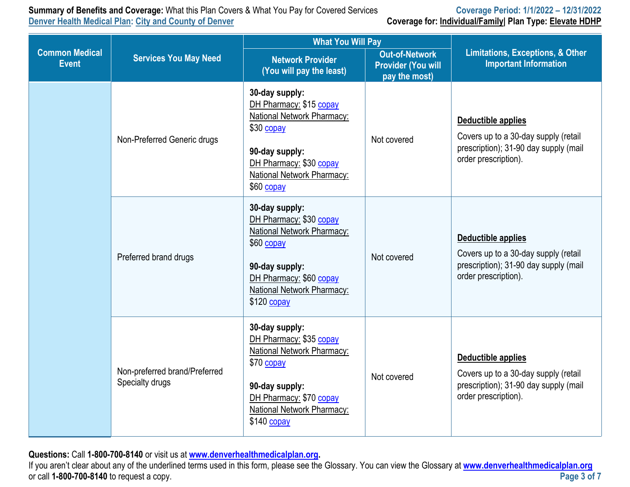**Summary of Benefits and Coverage:** What this Plan Covers & What You Pay for Covered Services **Coverage Period: 1/1/2022 – 12/31/2022**

**Coverage for: Individual/Family| Plan Type: Elevate HDHP** 

|                                       |                                                  | <b>What You Will Pay</b>                                                                                                                                                         |                                                                     |                                                                                                                                    |
|---------------------------------------|--------------------------------------------------|----------------------------------------------------------------------------------------------------------------------------------------------------------------------------------|---------------------------------------------------------------------|------------------------------------------------------------------------------------------------------------------------------------|
| <b>Common Medical</b><br><b>Event</b> | <b>Services You May Need</b>                     | <b>Network Provider</b><br>(You will pay the least)                                                                                                                              | <b>Out-of-Network</b><br><b>Provider (You will</b><br>pay the most) | <b>Limitations, Exceptions, &amp; Other</b><br><b>Important Information</b>                                                        |
|                                       | Non-Preferred Generic drugs                      | 30-day supply:<br>DH Pharmacy: \$15 copay<br>National Network Pharmacy:<br>\$30 copay<br>90-day supply:<br>DH Pharmacy: \$30 copay<br>National Network Pharmacy:<br>\$60 copay   | Not covered                                                         | <b>Deductible applies</b><br>Covers up to a 30-day supply (retail<br>prescription); 31-90 day supply (mail<br>order prescription). |
|                                       | Preferred brand drugs                            | 30-day supply:<br>DH Pharmacy: \$30 copay<br>National Network Pharmacy:<br>\$60 copay<br>90-day supply:<br>DH Pharmacy: \$60 copay<br>National Network Pharmacy:<br>$$120$ copay | Not covered                                                         | <b>Deductible applies</b><br>Covers up to a 30-day supply (retail<br>prescription); 31-90 day supply (mail<br>order prescription). |
|                                       | Non-preferred brand/Preferred<br>Specialty drugs | 30-day supply:<br>DH Pharmacy: \$35 copay<br>National Network Pharmacy:<br>\$70 copay<br>90-day supply:<br>DH Pharmacy: \$70 copay<br>National Network Pharmacy:<br>\$140 copay  | Not covered                                                         | <b>Deductible applies</b><br>Covers up to a 30-day supply (retail<br>prescription); 31-90 day supply (mail<br>order prescription). |

**Questions:** Call **1-800-700-8140** or visit us at **[www.denverhealthmedicalplan.org](http://www.denverhealthmedicalplan.org/).** 

If you aren't clear about any of the underlined terms used in this form, please see the Glossary. You can view the Glossary at **[www.denverhealthmedicalplan.org](http://www.denverhealthmedicalplan.org/)** or call **1-800-700-8140** to request a copy.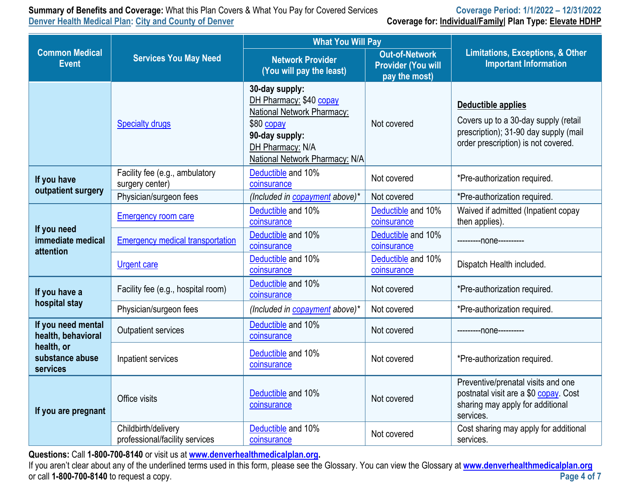**Summary of Benefits and Coverage:** What this Plan Covers & What You Pay for Covered Services **Coverage Period: 1/1/2022 - 12/31/2022 Denver Health Medical Plan: City and County of Denver** 

|  | Coverage for: Individual/Family   Plan Type: Elevate HDHF |  |  |
|--|-----------------------------------------------------------|--|--|
|--|-----------------------------------------------------------|--|--|

|                                                                       |                                                       | <b>What You Will Pay</b>                                                                                                                                      |                                   |                                                                                                                                            |  |
|-----------------------------------------------------------------------|-------------------------------------------------------|---------------------------------------------------------------------------------------------------------------------------------------------------------------|-----------------------------------|--------------------------------------------------------------------------------------------------------------------------------------------|--|
| <b>Common Medical</b><br><b>Services You May Need</b><br><b>Event</b> |                                                       | <b>Out-of-Network</b><br><b>Network Provider</b><br><b>Provider (You will</b><br>(You will pay the least)<br>pay the most)                                    |                                   | <b>Limitations, Exceptions, &amp; Other</b><br><b>Important Information</b>                                                                |  |
|                                                                       | <b>Specialty drugs</b>                                | 30-day supply:<br>DH Pharmacy: \$40 copay<br>National Network Pharmacy:<br>\$80 copay<br>90-day supply:<br>DH Pharmacy: N/A<br>National Network Pharmacy: N/A | Not covered                       | Deductible applies<br>Covers up to a 30-day supply (retail<br>prescription); 31-90 day supply (mail<br>order prescription) is not covered. |  |
| If you have<br>outpatient surgery                                     | Facility fee (e.g., ambulatory<br>surgery center)     | Deductible and 10%<br>coinsurance                                                                                                                             | Not covered                       | *Pre-authorization required.                                                                                                               |  |
|                                                                       | Physician/surgeon fees                                | (Included in copayment above)*                                                                                                                                | Not covered                       | *Pre-authorization required.                                                                                                               |  |
|                                                                       | <b>Emergency room care</b>                            | Deductible and 10%<br>coinsurance                                                                                                                             | Deductible and 10%<br>coinsurance | Waived if admitted (Inpatient copay<br>then applies).                                                                                      |  |
| If you need<br>immediate medical<br>attention                         | <b>Emergency medical transportation</b>               | Deductible and 10%<br>coinsurance                                                                                                                             | Deductible and 10%<br>coinsurance | ---------none----------                                                                                                                    |  |
|                                                                       | <b>Urgent care</b>                                    | Deductible and 10%<br>coinsurance                                                                                                                             | Deductible and 10%<br>coinsurance | Dispatch Health included.                                                                                                                  |  |
| If you have a                                                         | Facility fee (e.g., hospital room)                    | Deductible and 10%<br>coinsurance                                                                                                                             | Not covered                       | *Pre-authorization required.                                                                                                               |  |
| hospital stay                                                         | Physician/surgeon fees                                | (Included in copayment above)*                                                                                                                                | Not covered                       | *Pre-authorization required.                                                                                                               |  |
| If you need mental<br>health, behavioral                              | Outpatient services                                   | Deductible and 10%<br>coinsurance                                                                                                                             | Not covered                       | ---------none----------                                                                                                                    |  |
| health, or<br>substance abuse<br>services                             | Inpatient services                                    | Deductible and 10%<br>coinsurance                                                                                                                             | Not covered                       | *Pre-authorization required.                                                                                                               |  |
| If you are pregnant                                                   | Office visits                                         | Deductible and 10%<br>coinsurance                                                                                                                             | Not covered                       | Preventive/prenatal visits and one<br>postnatal visit are a \$0 copay. Cost<br>sharing may apply for additional<br>services.               |  |
|                                                                       | Childbirth/delivery<br>professional/facility services | Deductible and 10%<br>coinsurance                                                                                                                             | Not covered                       | Cost sharing may apply for additional<br>services.                                                                                         |  |

**Questions:** Call **1-800-700-8140** or visit us at **[www.denverhealthmedicalplan.org](http://www.denverhealthmedicalplan.org/).** 

If you aren't clear about any of the underlined terms used in this form, please see the Glossary. You can view the Glossary at **[www.denverhealthmedicalplan.org](http://www.denverhealthmedicalplan.org/)** or call **1-800-700-8140** to request a copy.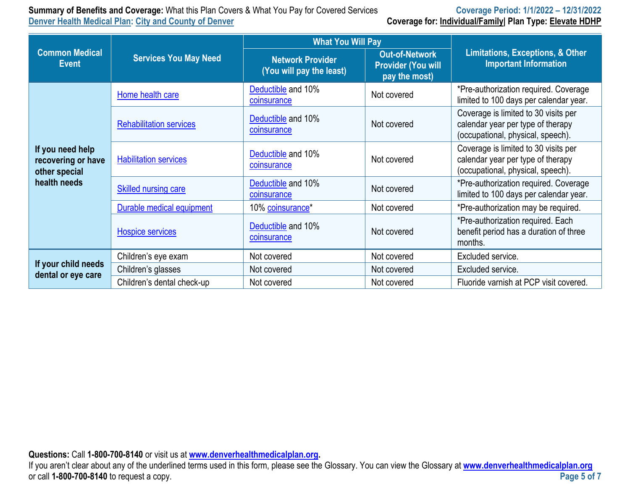### **Summary of Benefits and Coverage:** What this Plan Covers & What You Pay for Covered Services **Coverage Period: 1/1/2022 – 12/31/2022 Denver Health Medical Plan: City and County of Denver**

|                                                                         |                                | <b>What You Will Pay</b>                                                                                                   | <b>Limitations, Exceptions, &amp; Other</b><br><b>Important Information</b> |                                                                                                                |
|-------------------------------------------------------------------------|--------------------------------|----------------------------------------------------------------------------------------------------------------------------|-----------------------------------------------------------------------------|----------------------------------------------------------------------------------------------------------------|
| <b>Common Medical</b><br><b>Event</b>                                   | <b>Services You May Need</b>   | <b>Out-of-Network</b><br><b>Network Provider</b><br><b>Provider (You will</b><br>(You will pay the least)<br>pay the most) |                                                                             |                                                                                                                |
|                                                                         | Home health care               | Deductible and 10%<br>coinsurance                                                                                          | Not covered                                                                 | *Pre-authorization required. Coverage<br>limited to 100 days per calendar year.                                |
|                                                                         | <b>Rehabilitation services</b> | Deductible and 10%<br>coinsurance                                                                                          | Not covered                                                                 | Coverage is limited to 30 visits per<br>calendar year per type of therapy<br>(occupational, physical, speech). |
| If you need help<br>recovering or have<br>other special<br>health needs | <b>Habilitation services</b>   | Deductible and 10%<br>coinsurance                                                                                          | Not covered                                                                 | Coverage is limited to 30 visits per<br>calendar year per type of therapy<br>(occupational, physical, speech). |
|                                                                         | <b>Skilled nursing care</b>    | Deductible and 10%<br>coinsurance                                                                                          | Not covered                                                                 | *Pre-authorization required. Coverage<br>limited to 100 days per calendar year.                                |
|                                                                         | Durable medical equipment      | 10% coinsurance*                                                                                                           | Not covered                                                                 | *Pre-authorization may be required.                                                                            |
|                                                                         | Hospice services               | Deductible and 10%<br>coinsurance                                                                                          | Not covered                                                                 | *Pre-authorization required. Each<br>benefit period has a duration of three<br>months.                         |
|                                                                         | Children's eye exam            | Not covered                                                                                                                | Not covered                                                                 | Excluded service.                                                                                              |
| If your child needs<br>dental or eye care                               | Children's glasses             | Not covered                                                                                                                | Not covered                                                                 | Excluded service.                                                                                              |
|                                                                         | Children's dental check-up     | Not covered                                                                                                                | Not covered                                                                 | Fluoride varnish at PCP visit covered.                                                                         |

**Questions:** Call **1-800-700-8140** or visit us at **[www.denverhealthmedicalplan.org](http://www.denverhealthmedicalplan.org/).** 

If you aren't clear about any of the underlined terms used in this form, please see the Glossary. You can view the Glossary at **[www.denverhealthmedicalplan.org](http://www.denverhealthmedicalplan.org/)** or call **1-800-700-8140** to request a copy.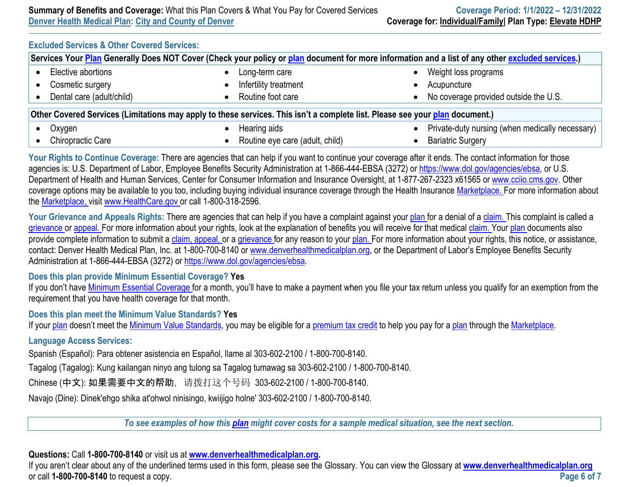# **Excluded Services & Other Covered Services:**

| Services Your Plan Generally Does NOT Cover (Check your policy or plan document for more information and a list of any other excluded services.) |  |                                 |           |                                                 |  |  |
|--------------------------------------------------------------------------------------------------------------------------------------------------|--|---------------------------------|-----------|-------------------------------------------------|--|--|
| Elective abortions                                                                                                                               |  | Long-term care                  |           | Weight loss programs                            |  |  |
| Cosmetic surgery                                                                                                                                 |  | Infertility treatment           |           | Acupuncture                                     |  |  |
| Dental care (adult/child)                                                                                                                        |  | Routine foot care               |           | No coverage provided outside the U.S.           |  |  |
| Other Covered Services (Limitations may apply to these services. This isn't a complete list. Please see your plan document.)                     |  |                                 |           |                                                 |  |  |
| Oxygen                                                                                                                                           |  | Hearing aids                    | $\bullet$ | Private-duty nursing (when medically necessary) |  |  |
| <b>Chiropractic Care</b>                                                                                                                         |  | Routine eye care (adult, child) |           | <b>Bariatric Surgery</b>                        |  |  |

Your Rights to Continue Coverage: There are agencies that can help if you want to continue your coverage after it ends. The contact information for those agencies is: U.S. Department of Labor, Employee Benefits Security Administration at 1-866-444-EBSA (3272) or [https://www.dol.gov/agencies/ebsa,](https://www.dol.gov/agencies/ebsa) or U.S. Department of Health and Human Services, Center for Consumer Information and Insurance Oversight, at 1-877-267-2323 x61565 or [www.cciio.cms.gov.](http://www.cciio.cms.gov/) Other coverage options may be available to you too, including buying individual insurance coverage through the Health Insurance [Marketplace.](https://www.healthcare.gov/sbc-glossary/#marketplace) For more information about the [Marketplace,](https://www.healthcare.gov/sbc-glossary/#marketplace) visit [www.HealthCare.gov](http://www.healthcare.gov/) or call 1-800-318-2596.

Your Grievance and Appeals Rights: There are agencies that can help if you have a complaint against your [plan](https://www.healthcare.gov/sbc-glossary/#plan) for a denial of a [claim.](https://www.healthcare.gov/sbc-glossary/#claim) This complaint is called a [grievance](https://www.healthcare.gov/sbc-glossary/#grievance) or [appeal. F](https://www.healthcare.gov/sbc-glossary/#appeal)or more information about your rights, look at the explanation of benefits you will receive for that medical [claim.](https://www.healthcare.gov/sbc-glossary/#claim) Your [plan d](https://www.healthcare.gov/sbc-glossary/#plan)ocuments also provide complete information to submit a [claim,](https://www.healthcare.gov/sbc-glossary/#claim) [appeal,](https://www.healthcare.gov/sbc-glossary/#appeal) or a [grievance f](https://www.healthcare.gov/sbc-glossary/#grievance)or any reason to your [plan.](https://www.healthcare.gov/sbc-glossary/#plan) For more information about your rights, this notice, or assistance, contact: Denver Health Medical Plan, Inc. at 1-800-700-8140 or [www.denverhealthmedicalplan.org,](http://www.denverhealthmedicalplan.org/) or the Department of Labor's Employee Benefits Security Administration at 1-866-444-EBSA (3272) or <https://www.dol.gov/agencies/ebsa>.

#### **Does this plan provide Minimum Essential Coverage? Yes**

If you don't have [Minimum Essential Coverage f](https://www.healthcare.gov/sbc-glossary/#minimum-essential-coverage)or a month, you'll have to make a payment when you file your tax return unless you qualify for an exemption from the requirement that you have health coverage for that month.

#### **Does this plan meet the Minimum Value Standards? Yes**

If your [plan](https://www.healthcare.gov/sbc-glossary/#plan) doesn't meet the [Minimum Value Standards,](https://www.healthcare.gov/sbc-glossary/#minimum-value-standard) you may be eligible for a [premium tax credit t](https://www.healthcare.gov/sbc-glossary/#premium-tax-credits)o help you pay for a [plan](https://www.healthcare.gov/sbc-glossary/#plan) through the [Marketplace.](https://www.healthcare.gov/sbc-glossary/#marketplace)

#### **Language Access Services:**

Spanish (Español): Para obtener asistencia en Español, llame al 303-602-2100 / 1-800-700-8140.

Tagalog (Tagalog): Kung kailangan ninyo ang tulong sa Tagalog tumawag sa 303-602-2100 / 1-800-700-8140.

Chinese (中文): 如果需要中文的帮助, 请拨打这个号码 303-602-2100 / 1-800-700-8140.

Navajo (Dine): Dinek'ehgo shika at'ohwol ninisingo, kwiijigo holne' 303-602-2100 / 1-800-700-8140.

*To see examples of how this [plan](https://www.healthcare.gov/sbc-glossary/#plan) might cover costs for a sample medical situation, see the next section.*

#### **Questions:** Call **1-800-700-8140** or visit us at **[www.denverhealthmedicalplan.org](http://www.denverhealthmedicalplan.org/).**

If you aren't clear about any of the underlined terms used in this form, please see the Glossary. You can view the Glossary at **[www.denverhealthmedicalplan.org](http://www.denverhealthmedicalplan.org/)** or call **1-800-700-8140** to request a copy. **Page 6 of 7**